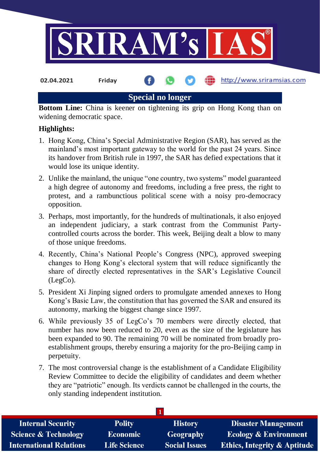

**Special no longer**

**Bottom Line:** China is keener on tightening its grip on Hong Kong than on widening democratic space.

## **Highlights:**

- 1. Hong Kong, China's Special Administrative Region (SAR), has served as the mainland's most important gateway to the world for the past 24 years. Since its handover from British rule in 1997, the SAR has defied expectations that it would lose its unique identity.
- 2. Unlike the mainland, the unique "one country, two systems" model guaranteed a high degree of autonomy and freedoms, including a free press, the right to protest, and a rambunctious political scene with a noisy pro-democracy opposition.
- 3. Perhaps, most importantly, for the hundreds of multinationals, it also enjoyed an independent judiciary, a stark contrast from the Communist Partycontrolled courts across the border. This week, Beijing dealt a blow to many of those unique freedoms.
- 4. Recently, China's National People's Congress (NPC), approved sweeping changes to Hong Kong's electoral system that will reduce significantly the share of directly elected representatives in the SAR's Legislative Council (LegCo).
- 5. President Xi Jinping signed orders to promulgate amended annexes to Hong Kong's Basic Law, the constitution that has governed the SAR and ensured its autonomy, marking the biggest change since 1997.
- 6. While previously 35 of LegCo's 70 members were directly elected, that number has now been reduced to 20, even as the size of the legislature has been expanded to 90. The remaining 70 will be nominated from broadly proestablishment groups, thereby ensuring a majority for the pro-Beijing camp in perpetuity.
- 7. The most controversial change is the establishment of a Candidate Eligibility Review Committee to decide the eligibility of candidates and deem whether they are "patriotic" enough. Its verdicts cannot be challenged in the courts, the only standing independent institution.

| <b>Internal Security</b>        | <b>Polity</b>       | <b>History</b>       | <b>Disaster Management</b>              |
|---------------------------------|---------------------|----------------------|-----------------------------------------|
| <b>Science &amp; Technology</b> | <b>Economic</b>     | Geography            | <b>Ecology &amp; Environment</b>        |
| <b>International Relations</b>  | <b>Life Science</b> | <b>Social Issues</b> | <b>Ethics, Integrity &amp; Aptitude</b> |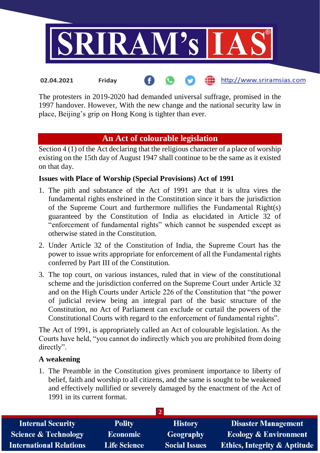

http://www.sriramsias.com **02.04.2021 Friday**

The protesters in 2019-2020 had demanded universal suffrage, promised in the 1997 handover. However, With the new change and the national security law in place, Beijing's grip on Hong Kong is tighter than ever.

# **An Act of colourable legislation**

Section 4 (1) of the Act declaring that the religious character of a place of worship existing on the 15th day of August 1947 shall continue to be the same as it existed on that day.

## **Issues with Place of Worship (Special Provisions) Act of 1991**

- 1. The pith and substance of the Act of 1991 are that it is ultra vires the fundamental rights enshrined in the Constitution since it bars the jurisdiction of the Supreme Court and furthermore nullifies the Fundamental Right(s) guaranteed by the Constitution of India as elucidated in Article 32 of "enforcement of fundamental rights" which cannot be suspended except as otherwise stated in the Constitution.
- 2. Under Article 32 of the Constitution of India, the Supreme Court has the power to issue writs appropriate for enforcement of all the Fundamental rights conferred by Part III of the Constitution.
- 3. The top court, on various instances, ruled that in view of the constitutional scheme and the jurisdiction conferred on the Supreme Court under Article 32 and on the High Courts under Article 226 of the Constitution that "the power of judicial review being an integral part of the basic structure of the Constitution, no Act of Parliament can exclude or curtail the powers of the Constitutional Courts with regard to the enforcement of fundamental rights".

The Act of 1991, is appropriately called an Act of colourable legislation. As the Courts have held, "you cannot do indirectly which you are prohibited from doing directly".

#### **A weakening**

1. The Preamble in the Constitution gives prominent importance to liberty of belief, faith and worship to all citizens, and the same is sought to be weakened and effectively nullified or severely damaged by the enactment of the Act of 1991 in its current format.

| <b>Internal Security</b>        | <b>Polity</b>       | <b>History</b>       | <b>Disaster Management</b>              |  |  |
|---------------------------------|---------------------|----------------------|-----------------------------------------|--|--|
| <b>Science &amp; Technology</b> | <b>Economic</b>     | <b>Geography</b>     | <b>Ecology &amp; Environment</b>        |  |  |
| <b>International Relations</b>  | <b>Life Science</b> | <b>Social Issues</b> | <b>Ethics, Integrity &amp; Aptitude</b> |  |  |